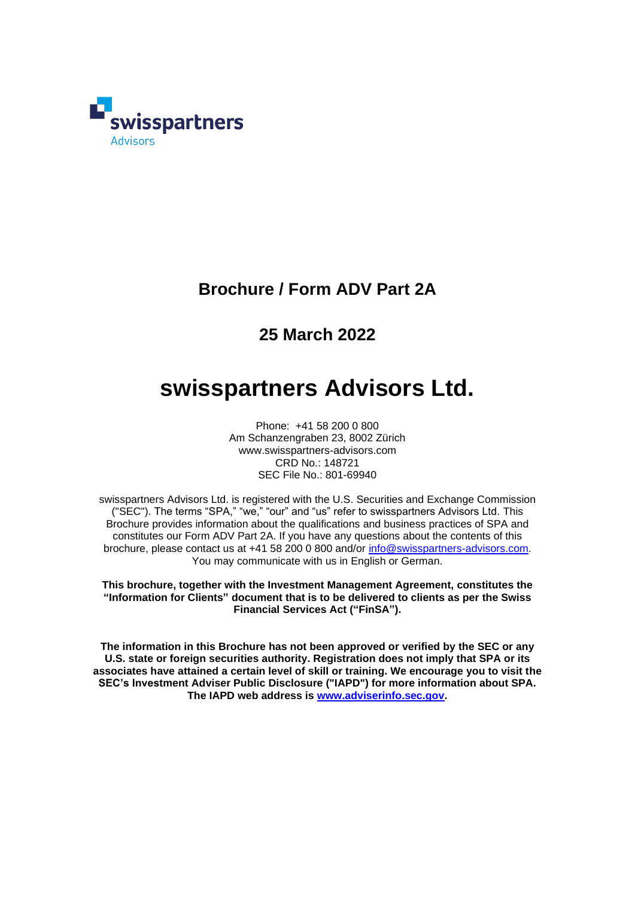

# **Brochure / Form ADV Part 2A**

# **25 March 2022**

# **swisspartners Advisors Ltd.**

Phone: +41 58 200 0 800 Am Schanzengraben 23, 8002 Zürich www.swisspartners-advisors.com CRD No.: 148721 SEC File No.: 801-69940

swisspartners Advisors Ltd. is registered with the U.S. Securities and Exchange Commission ("SEC"). The terms "SPA," "we," "our" and "us" refer to swisspartners Advisors Ltd. This Brochure provides information about the qualifications and business practices of SPA and constitutes our Form ADV Part 2A. If you have any questions about the contents of this brochure, please contact us at +41 58 200 0 800 and/or [info@swisspartners-advisors.com.](mailto:info@swisspartners-advisors.com) You may communicate with us in English or German.

**This brochure, together with the Investment Management Agreement, constitutes the "Information for Clients" document that is to be delivered to clients as per the Swiss Financial Services Act ("FinSA").**

**The information in this Brochure has not been approved or verified by the SEC or any U.S. state or foreign securities authority. Registration does not imply that SPA or its associates have attained a certain level of skill or training. We encourage you to visit the SEC's Investment Adviser Public Disclosure ("IAPD") for more information about SPA. The IAPD web address is [www.adviserinfo.sec.gov.](http://www.adviserinfo.sec.gov/)**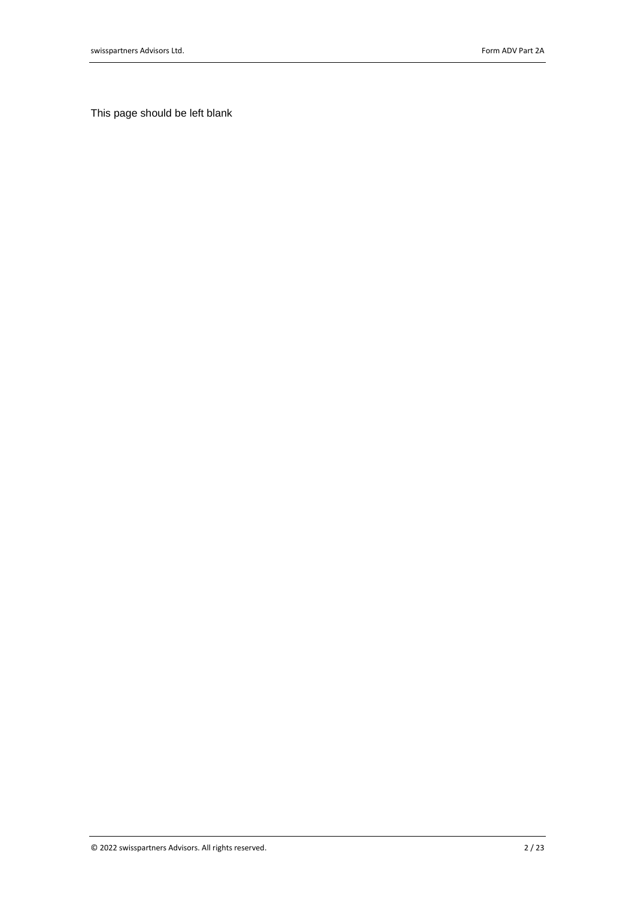This page should be left blank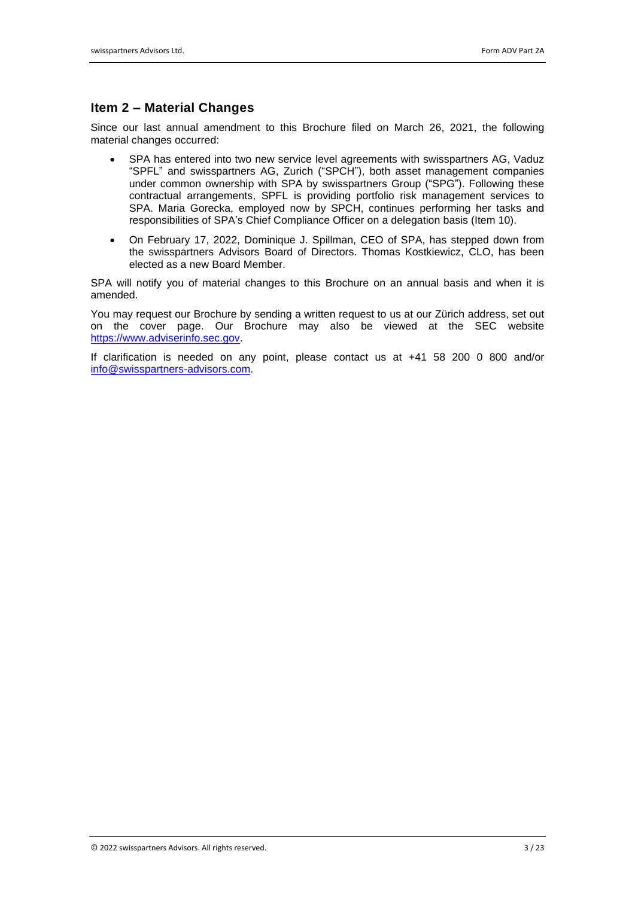# **Item 2 – Material Changes**

Since our last annual amendment to this Brochure filed on March 26, 2021, the following material changes occurred:

- SPA has entered into two new service level agreements with swisspartners AG, Vaduz "SPFL" and swisspartners AG, Zurich ("SPCH"), both asset management companies under common ownership with SPA by swisspartners Group ("SPG"). Following these contractual arrangements, SPFL is providing portfolio risk management services to SPA. Maria Gorecka, employed now by SPCH, continues performing her tasks and responsibilities of SPA's Chief Compliance Officer on a delegation basis (Item 10).
- On February 17, 2022, Dominique J. Spillman, CEO of SPA, has stepped down from the swisspartners Advisors Board of Directors. Thomas Kostkiewicz, CLO, has been elected as a new Board Member.

SPA will notify you of material changes to this Brochure on an annual basis and when it is amended.

You may request our Brochure by sending a written request to us at our Zürich address, set out on the cover page. Our Brochure may also be viewed at the SEC website [https://www.adviserinfo.sec.gov.](https://www.adviserinfo.sec.gov/)

If clarification is needed on any point, please contact us at +41 58 200 0 800 and/or [info@swisspartners-advisors.com.](mailto:info@swisspartners-advisors.com)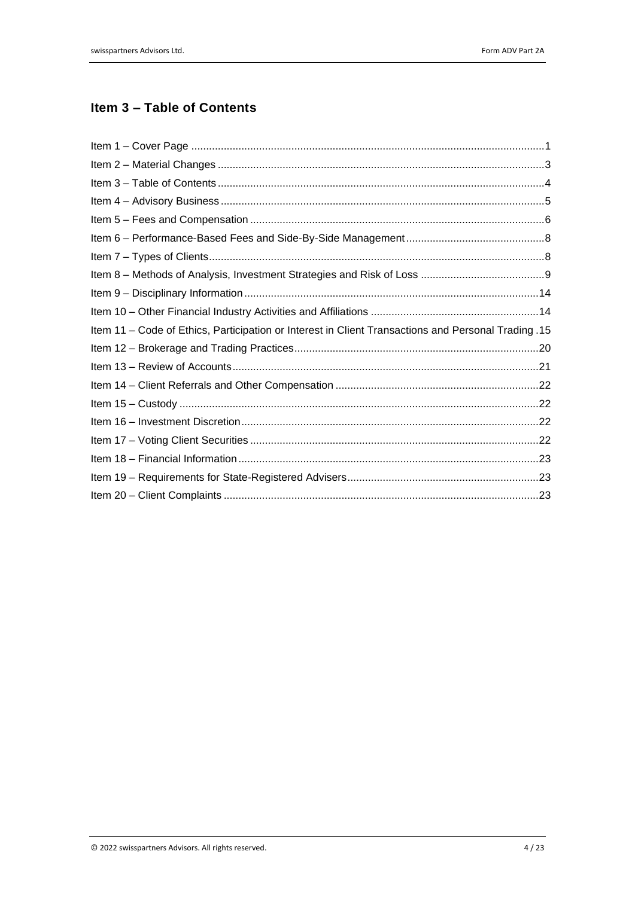# **Item 3 – Table of Contents**

| 15. Item 11 – Code of Ethics, Participation or Interest in Client Transactions and Personal Trading. |  |
|------------------------------------------------------------------------------------------------------|--|
|                                                                                                      |  |
|                                                                                                      |  |
|                                                                                                      |  |
|                                                                                                      |  |
|                                                                                                      |  |
|                                                                                                      |  |
|                                                                                                      |  |
|                                                                                                      |  |
|                                                                                                      |  |
|                                                                                                      |  |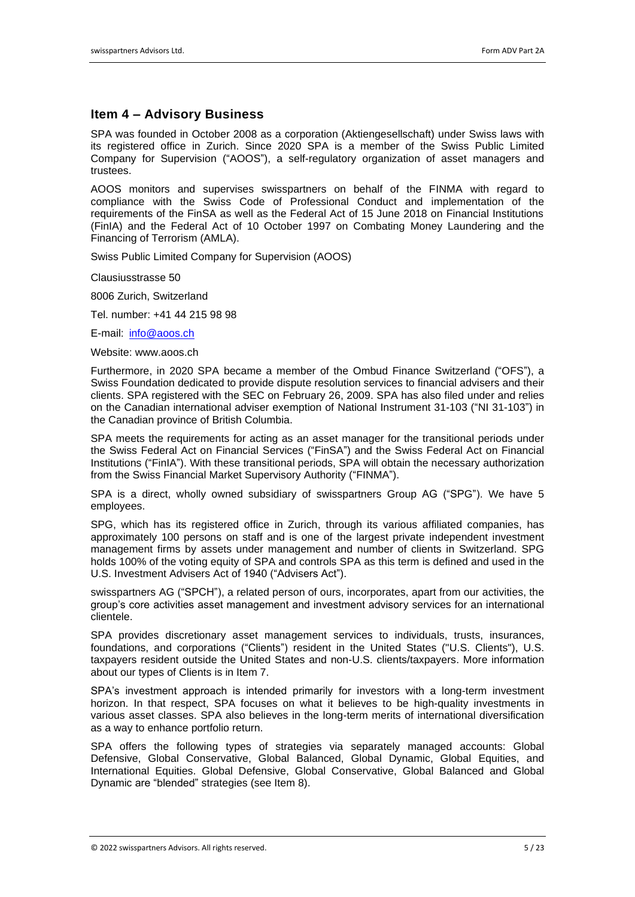### **Item 4 – Advisory Business**

SPA was founded in October 2008 as a corporation (Aktiengesellschaft) under Swiss laws with its registered office in Zurich. Since 2020 SPA is a member of the Swiss Public Limited Company for Supervision ("AOOS"), a self-regulatory organization of asset managers and trustees.

AOOS monitors and supervises swisspartners on behalf of the FINMA with regard to compliance with the Swiss Code of Professional Conduct and implementation of the requirements of the FinSA as well as the Federal Act of 15 June 2018 on Financial Institutions (FinIA) and the Federal Act of 10 October 1997 on Combating Money Laundering and the Financing of Terrorism (AMLA).

Swiss Public Limited Company for Supervision (AOOS)

Clausiusstrasse 50

8006 Zurich, Switzerland

Tel. number: +41 44 215 98 98

E-mail: [info@aoos.ch](mailto:info@aoos.ch)

Website: www.aoos.ch

Furthermore, in 2020 SPA became a member of the Ombud Finance Switzerland ("OFS"), a Swiss Foundation dedicated to provide dispute resolution services to financial advisers and their clients. SPA registered with the SEC on February 26, 2009. SPA has also filed under and relies on the Canadian international adviser exemption of National Instrument 31-103 ("NI 31-103") in the Canadian province of British Columbia.

SPA meets the requirements for acting as an asset manager for the transitional periods under the Swiss Federal Act on Financial Services ("FinSA") and the Swiss Federal Act on Financial Institutions ("FinIA"). With these transitional periods, SPA will obtain the necessary authorization from the Swiss Financial Market Supervisory Authority ("FINMA").

SPA is a direct, wholly owned subsidiary of swisspartners Group AG ("SPG"). We have 5 employees.

SPG, which has its registered office in Zurich, through its various affiliated companies, has approximately 100 persons on staff and is one of the largest private independent investment management firms by assets under management and number of clients in Switzerland. SPG holds 100% of the voting equity of SPA and controls SPA as this term is defined and used in the U.S. Investment Advisers Act of 1940 ("Advisers Act").

swisspartners AG ("SPCH"), a related person of ours, incorporates, apart from our activities, the group's core activities asset management and investment advisory services for an international clientele.

SPA provides discretionary asset management services to individuals, trusts, insurances, foundations, and corporations ("Clients") resident in the United States ("U.S. Clients"), U.S. taxpayers resident outside the United States and non-U.S. clients/taxpayers. More information about our types of Clients is in Item 7.

SPA's investment approach is intended primarily for investors with a long-term investment horizon. In that respect, SPA focuses on what it believes to be high-quality investments in various asset classes. SPA also believes in the long-term merits of international diversification as a way to enhance portfolio return.

SPA offers the following types of strategies via separately managed accounts: Global Defensive, Global Conservative, Global Balanced, Global Dynamic, Global Equities, and International Equities. Global Defensive, Global Conservative, Global Balanced and Global Dynamic are "blended" strategies (see Item 8).

© 2022 swisspartners Advisors. All rights reserved. 5 / 23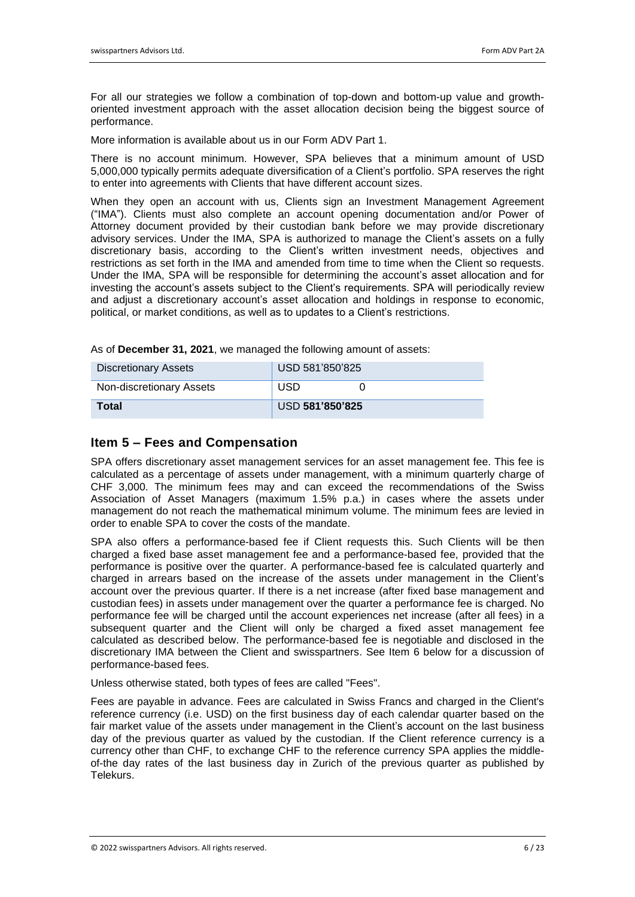For all our strategies we follow a combination of top-down and bottom-up value and growthoriented investment approach with the asset allocation decision being the biggest source of performance.

More information is available about us in our Form ADV Part 1.

There is no account minimum. However, SPA believes that a minimum amount of USD 5,000,000 typically permits adequate diversification of a Client's portfolio. SPA reserves the right to enter into agreements with Clients that have different account sizes.

When they open an account with us, Clients sign an Investment Management Agreement ("IMA"). Clients must also complete an account opening documentation and/or Power of Attorney document provided by their custodian bank before we may provide discretionary advisory services. Under the IMA, SPA is authorized to manage the Client's assets on a fully discretionary basis, according to the Client's written investment needs, objectives and restrictions as set forth in the IMA and amended from time to time when the Client so requests. Under the IMA, SPA will be responsible for determining the account's asset allocation and for investing the account's assets subject to the Client's requirements. SPA will periodically review and adjust a discretionary account's asset allocation and holdings in response to economic, political, or market conditions, as well as to updates to a Client's restrictions.

As of **December 31, 2021**, we managed the following amount of assets:

| <b>Discretionary Assets</b> | USD 581'850'825 |  |  |
|-----------------------------|-----------------|--|--|
| Non-discretionary Assets    | <b>USD</b>      |  |  |
| <b>Total</b>                | USD 581'850'825 |  |  |

# **Item 5 – Fees and Compensation**

SPA offers discretionary asset management services for an asset management fee. This fee is calculated as a percentage of assets under management, with a minimum quarterly charge of CHF 3,000. The minimum fees may and can exceed the recommendations of the Swiss Association of Asset Managers (maximum 1.5% p.a.) in cases where the assets under management do not reach the mathematical minimum volume. The minimum fees are levied in order to enable SPA to cover the costs of the mandate.

SPA also offers a performance-based fee if Client requests this. Such Clients will be then charged a fixed base asset management fee and a performance-based fee, provided that the performance is positive over the quarter. A performance-based fee is calculated quarterly and charged in arrears based on the increase of the assets under management in the Client's account over the previous quarter. If there is a net increase (after fixed base management and custodian fees) in assets under management over the quarter a performance fee is charged. No performance fee will be charged until the account experiences net increase (after all fees) in a subsequent quarter and the Client will only be charged a fixed asset management fee calculated as described below. The performance-based fee is negotiable and disclosed in the discretionary IMA between the Client and swisspartners. See Item 6 below for a discussion of performance-based fees.

Unless otherwise stated, both types of fees are called "Fees".

Fees are payable in advance. Fees are calculated in Swiss Francs and charged in the Client's reference currency (i.e. USD) on the first business day of each calendar quarter based on the fair market value of the assets under management in the Client's account on the last business day of the previous quarter as valued by the custodian. If the Client reference currency is a currency other than CHF, to exchange CHF to the reference currency SPA applies the middleof-the day rates of the last business day in Zurich of the previous quarter as published by Telekurs.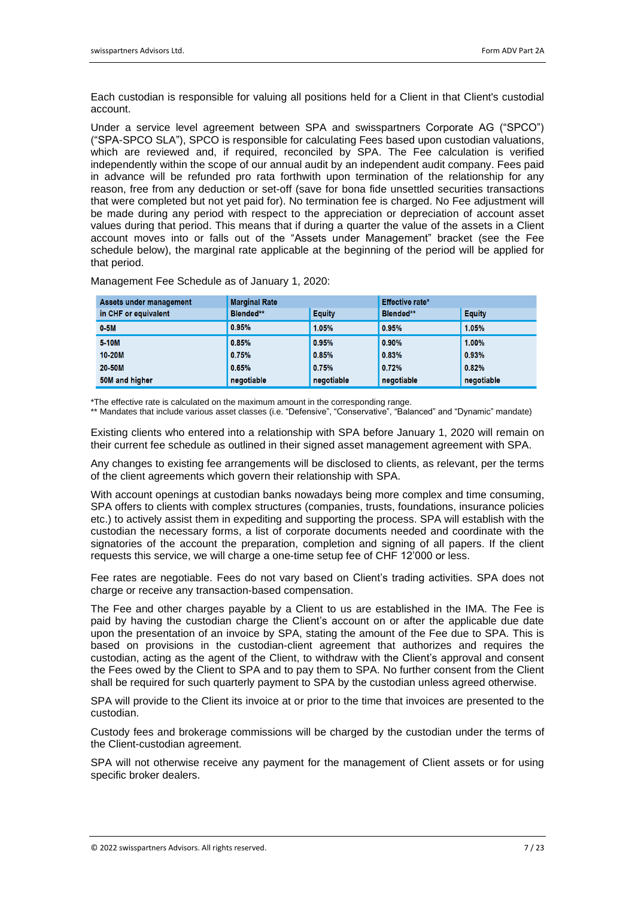Each custodian is responsible for valuing all positions held for a Client in that Client's custodial account.

Under a service level agreement between SPA and swisspartners Corporate AG ("SPCO") ("SPA-SPCO SLA"), SPCO is responsible for calculating Fees based upon custodian valuations, which are reviewed and, if required, reconciled by SPA. The Fee calculation is verified independently within the scope of our annual audit by an independent audit company. Fees paid in advance will be refunded pro rata forthwith upon termination of the relationship for any reason, free from any deduction or set-off (save for bona fide unsettled securities transactions that were completed but not yet paid for). No termination fee is charged. No Fee adjustment will be made during any period with respect to the appreciation or depreciation of account asset values during that period. This means that if during a quarter the value of the assets in a Client account moves into or falls out of the "Assets under Management" bracket (see the Fee schedule below), the marginal rate applicable at the beginning of the period will be applied for that period.

| Assets under management | <b>Marginal Rate</b> |               | Effective rate*  |               |
|-------------------------|----------------------|---------------|------------------|---------------|
| in CHF or equivalent    | <b>Blended**</b>     | <b>Equity</b> | <b>Blended**</b> | <b>Equity</b> |
| 0.5M                    | 0.95%                | 1.05%         | 0.95%            | 1.05%         |
| 5-10M                   | 0.85%                | 0.95%         | 0.90%            | 1.00%         |
| 10-20M                  | 0.75%                | 0.85%         | 0.83%            | 0.93%         |
| 20-50M                  | 0.65%                | 0.75%         | 0.72%            | 0.82%         |
| 50M and higher          | negotiable           | negotiable    | negotiable       | negotiable    |

Management Fee Schedule as of January 1, 2020:

\*The effective rate is calculated on the maximum amount in the corresponding range.

\*\* Mandates that include various asset classes (i.e. "Defensive", "Conservative", "Balanced" and "Dynamic" mandate)

Existing clients who entered into a relationship with SPA before January 1, 2020 will remain on their current fee schedule as outlined in their signed asset management agreement with SPA.

Any changes to existing fee arrangements will be disclosed to clients, as relevant, per the terms of the client agreements which govern their relationship with SPA.

With account openings at custodian banks nowadays being more complex and time consuming, SPA offers to clients with complex structures (companies, trusts, foundations, insurance policies etc.) to actively assist them in expediting and supporting the process. SPA will establish with the custodian the necessary forms, a list of corporate documents needed and coordinate with the signatories of the account the preparation, completion and signing of all papers. If the client requests this service, we will charge a one-time setup fee of CHF 12'000 or less.

Fee rates are negotiable. Fees do not vary based on Client's trading activities. SPA does not charge or receive any transaction-based compensation.

The Fee and other charges payable by a Client to us are established in the IMA. The Fee is paid by having the custodian charge the Client's account on or after the applicable due date upon the presentation of an invoice by SPA, stating the amount of the Fee due to SPA. This is based on provisions in the custodian-client agreement that authorizes and requires the custodian, acting as the agent of the Client, to withdraw with the Client's approval and consent the Fees owed by the Client to SPA and to pay them to SPA. No further consent from the Client shall be required for such quarterly payment to SPA by the custodian unless agreed otherwise.

SPA will provide to the Client its invoice at or prior to the time that invoices are presented to the custodian.

Custody fees and brokerage commissions will be charged by the custodian under the terms of the Client-custodian agreement.

SPA will not otherwise receive any payment for the management of Client assets or for using specific broker dealers.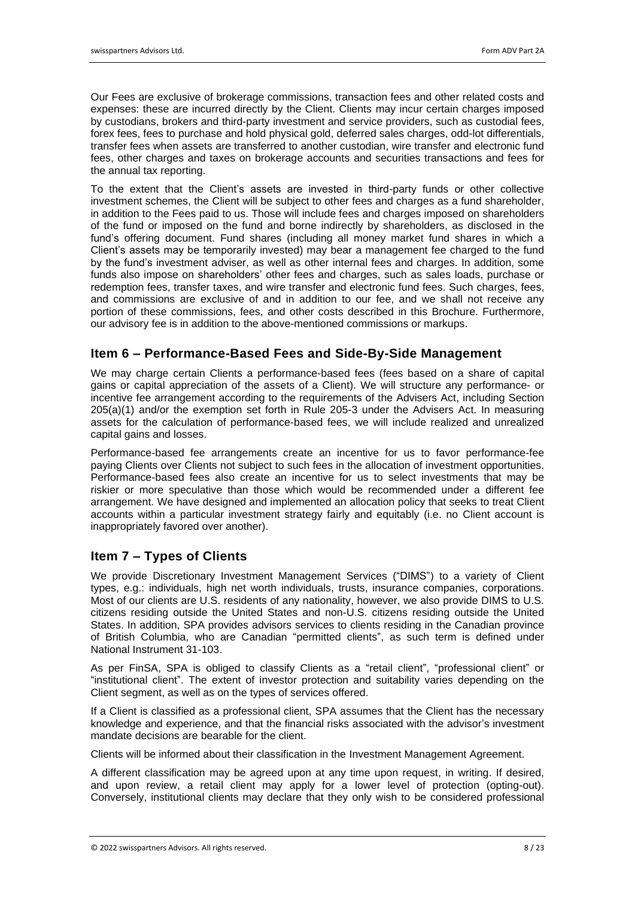Our Fees are exclusive of brokerage commissions, transaction fees and other related costs and expenses: these are incurred directly by the Client. Clients may incur certain charges imposed by custodians, brokers and third-party investment and service providers, such as custodial fees, forex fees, fees to purchase and hold physical gold, deferred sales charges, odd-lot differentials, transfer fees when assets are transferred to another custodian, wire transfer and electronic fund fees, other charges and taxes on brokerage accounts and securities transactions and fees for the annual tax reporting.

To the extent that the Client's assets are invested in third-party funds or other collective investment schemes, the Client will be subject to other fees and charges as a fund shareholder, in addition to the Fees paid to us. Those will include fees and charges imposed on shareholders of the fund or imposed on the fund and borne indirectly by shareholders, as disclosed in the fund's offering document. Fund shares (including all money market fund shares in which a Client's assets may be temporarily invested) may bear a management fee charged to the fund by the fund's investment adviser, as well as other internal fees and charges. In addition, some funds also impose on shareholders' other fees and charges, such as sales loads, purchase or redemption fees, transfer taxes, and wire transfer and electronic fund fees. Such charges, fees, and commissions are exclusive of and in addition to our fee, and we shall not receive any portion of these commissions, fees, and other costs described in this Brochure. Furthermore, our advisory fee is in addition to the above-mentioned commissions or markups.

# **Item 6 – Performance-Based Fees and Side-By-Side Management**

We may charge certain Clients a performance-based fees (fees based on a share of capital gains or capital appreciation of the assets of a Client). We will structure any performance- or incentive fee arrangement according to the requirements of the Advisers Act, including Section 205(a)(1) and/or the exemption set forth in Rule 205-3 under the Advisers Act. In measuring assets for the calculation of performance-based fees, we will include realized and unrealized capital gains and losses.

Performance-based fee arrangements create an incentive for us to favor performance-fee paying Clients over Clients not subject to such fees in the allocation of investment opportunities. Performance-based fees also create an incentive for us to select investments that may be riskier or more speculative than those which would be recommended under a different fee arrangement. We have designed and implemented an allocation policy that seeks to treat Client accounts within a particular investment strategy fairly and equitably (i.e. no Client account is inappropriately favored over another).

# **Item 7 – Types of Clients**

We provide Discretionary Investment Management Services ("DIMS") to a variety of Client types, e.g.: individuals, high net worth individuals, trusts, insurance companies, corporations. Most of our clients are U.S. residents of any nationality, however, we also provide DIMS to U.S. citizens residing outside the United States and non-U.S. citizens residing outside the United States. In addition, SPA provides advisors services to clients residing in the Canadian province of British Columbia, who are Canadian "permitted clients", as such term is defined under National Instrument 31-103.

As per FinSA, SPA is obliged to classify Clients as a "retail client", "professional client" or "institutional client". The extent of investor protection and suitability varies depending on the Client segment, as well as on the types of services offered.

If a Client is classified as a professional client, SPA assumes that the Client has the necessary knowledge and experience, and that the financial risks associated with the advisor's investment mandate decisions are bearable for the client.

Clients will be informed about their classification in the Investment Management Agreement.

A different classification may be agreed upon at any time upon request, in writing. If desired, and upon review, a retail client may apply for a lower level of protection (opting-out). Conversely, institutional clients may declare that they only wish to be considered professional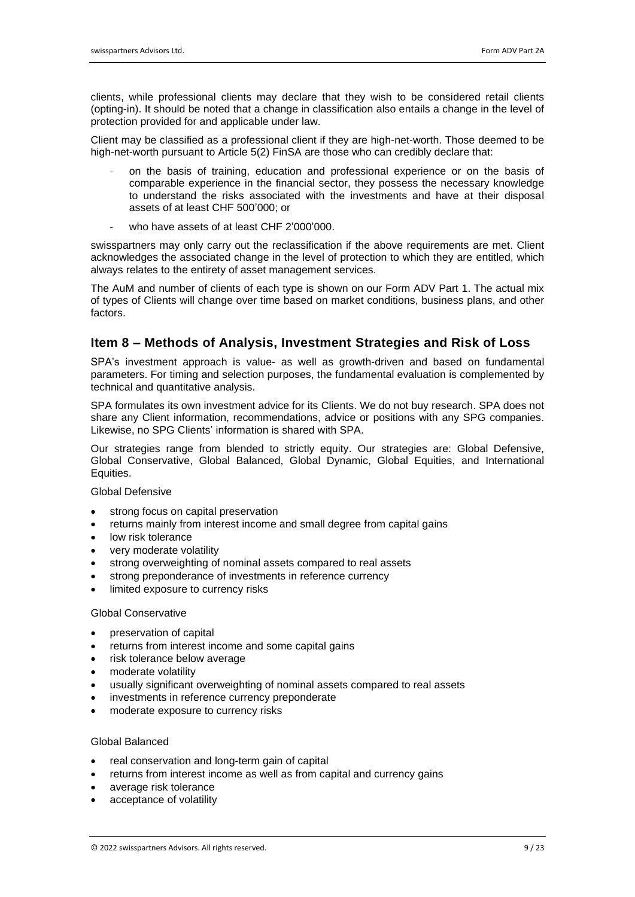clients, while professional clients may declare that they wish to be considered retail clients (opting-in). It should be noted that a change in classification also entails a change in the level of protection provided for and applicable under law.

Client may be classified as a professional client if they are high-net-worth. Those deemed to be high-net-worth pursuant to Article 5(2) FinSA are those who can credibly declare that:

- on the basis of training, education and professional experience or on the basis of comparable experience in the financial sector, they possess the necessary knowledge to understand the risks associated with the investments and have at their disposal assets of at least CHF 500'000; or
- who have assets of at least CHF 2'000'000.

swisspartners may only carry out the reclassification if the above requirements are met. Client acknowledges the associated change in the level of protection to which they are entitled, which always relates to the entirety of asset management services.

The AuM and number of clients of each type is shown on our Form ADV Part 1. The actual mix of types of Clients will change over time based on market conditions, business plans, and other factors.

# **Item 8 – Methods of Analysis, Investment Strategies and Risk of Loss**

SPA's investment approach is value- as well as growth-driven and based on fundamental parameters. For timing and selection purposes, the fundamental evaluation is complemented by technical and quantitative analysis.

SPA formulates its own investment advice for its Clients. We do not buy research. SPA does not share any Client information, recommendations, advice or positions with any SPG companies. Likewise, no SPG Clients' information is shared with SPA.

Our strategies range from blended to strictly equity. Our strategies are: Global Defensive, Global Conservative, Global Balanced, Global Dynamic, Global Equities, and International Equities.

Global Defensive

- strong focus on capital preservation
- returns mainly from interest income and small degree from capital gains
- low risk tolerance
- very moderate volatility
- strong overweighting of nominal assets compared to real assets
- strong preponderance of investments in reference currency
- limited exposure to currency risks

#### Global Conservative

- preservation of capital
- returns from interest income and some capital gains
- risk tolerance below average
- moderate volatility
- usually significant overweighting of nominal assets compared to real assets
- investments in reference currency preponderate
- moderate exposure to currency risks

#### Global Balanced

- real conservation and long-term gain of capital
- returns from interest income as well as from capital and currency gains
- average risk tolerance
- acceptance of volatility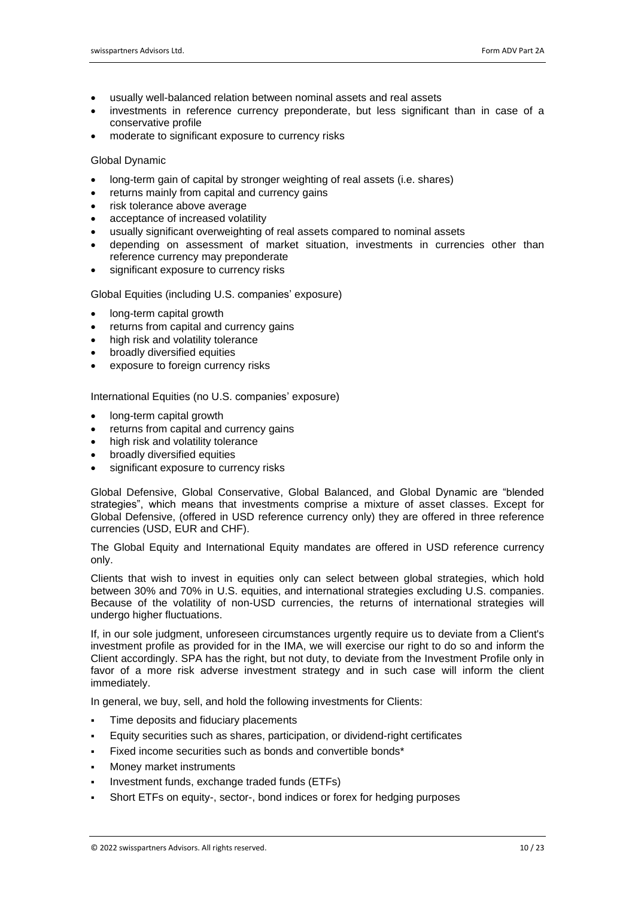- usually well-balanced relation between nominal assets and real assets
- investments in reference currency preponderate, but less significant than in case of a conservative profile
- moderate to significant exposure to currency risks

#### Global Dynamic

- long-term gain of capital by stronger weighting of real assets (i.e. shares)
- returns mainly from capital and currency gains
- risk tolerance above average
- acceptance of increased volatility
- usually significant overweighting of real assets compared to nominal assets
- depending on assessment of market situation, investments in currencies other than reference currency may preponderate
- significant exposure to currency risks

Global Equities (including U.S. companies' exposure)

- long-term capital growth
- returns from capital and currency gains
- high risk and volatility tolerance
- broadly diversified equities
- exposure to foreign currency risks

International Equities (no U.S. companies' exposure)

- long-term capital growth
- returns from capital and currency gains
- high risk and volatility tolerance
- broadly diversified equities
- significant exposure to currency risks

Global Defensive, Global Conservative, Global Balanced, and Global Dynamic are "blended strategies", which means that investments comprise a mixture of asset classes. Except for Global Defensive, (offered in USD reference currency only) they are offered in three reference currencies (USD, EUR and CHF).

The Global Equity and International Equity mandates are offered in USD reference currency only.

Clients that wish to invest in equities only can select between global strategies, which hold between 30% and 70% in U.S. equities, and international strategies excluding U.S. companies. Because of the volatility of non-USD currencies, the returns of international strategies will undergo higher fluctuations.

If, in our sole judgment, unforeseen circumstances urgently require us to deviate from a Client's investment profile as provided for in the IMA, we will exercise our right to do so and inform the Client accordingly. SPA has the right, but not duty, to deviate from the Investment Profile only in favor of a more risk adverse investment strategy and in such case will inform the client immediately.

In general, we buy, sell, and hold the following investments for Clients:

- Time deposits and fiduciary placements
- Equity securities such as shares, participation, or dividend-right certificates
- Fixed income securities such as bonds and convertible bonds\*
- Money market instruments
- Investment funds, exchange traded funds (ETFs)
- Short ETFs on equity-, sector-, bond indices or forex for hedging purposes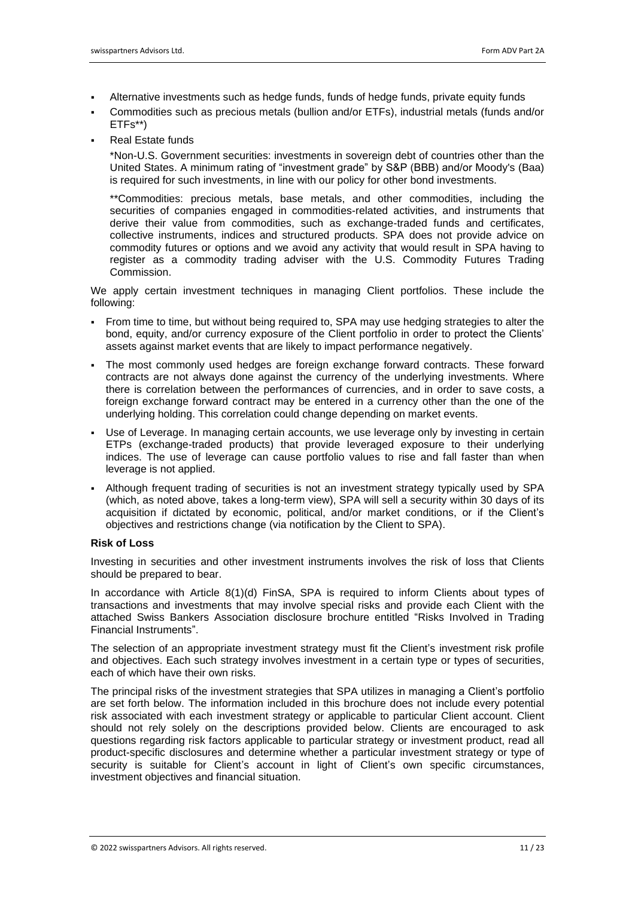- Alternative investments such as hedge funds, funds of hedge funds, private equity funds
- Commodities such as precious metals (bullion and/or ETFs), industrial metals (funds and/or ETFs\*\*)
- **Real Estate funds**

\*Non-U.S. Government securities: investments in sovereign debt of countries other than the United States. A minimum rating of "investment grade" by S&P (BBB) and/or Moody's (Baa) is required for such investments, in line with our policy for other bond investments.

\*\*Commodities: precious metals, base metals, and other commodities, including the securities of companies engaged in commodities-related activities, and instruments that derive their value from commodities, such as exchange-traded funds and certificates, collective instruments, indices and structured products. SPA does not provide advice on commodity futures or options and we avoid any activity that would result in SPA having to register as a commodity trading adviser with the U.S. Commodity Futures Trading Commission.

We apply certain investment techniques in managing Client portfolios. These include the following:

- From time to time, but without being required to, SPA may use hedging strategies to alter the bond, equity, and/or currency exposure of the Client portfolio in order to protect the Clients' assets against market events that are likely to impact performance negatively.
- The most commonly used hedges are foreign exchange forward contracts. These forward contracts are not always done against the currency of the underlying investments. Where there is correlation between the performances of currencies, and in order to save costs, a foreign exchange forward contract may be entered in a currency other than the one of the underlying holding. This correlation could change depending on market events.
- **•** Use of Leverage. In managing certain accounts, we use leverage only by investing in certain ETPs (exchange-traded products) that provide leveraged exposure to their underlying indices. The use of leverage can cause portfolio values to rise and fall faster than when leverage is not applied.
- Although frequent trading of securities is not an investment strategy typically used by SPA (which, as noted above, takes a long-term view), SPA will sell a security within 30 days of its acquisition if dictated by economic, political, and/or market conditions, or if the Client's objectives and restrictions change (via notification by the Client to SPA).

#### **Risk of Loss**

Investing in securities and other investment instruments involves the risk of loss that Clients should be prepared to bear.

In accordance with Article 8(1)(d) FinSA, SPA is required to inform Clients about types of transactions and investments that may involve special risks and provide each Client with the attached Swiss Bankers Association disclosure brochure entitled "Risks Involved in Trading Financial Instruments".

The selection of an appropriate investment strategy must fit the Client's investment risk profile and objectives. Each such strategy involves investment in a certain type or types of securities, each of which have their own risks.

The principal risks of the investment strategies that SPA utilizes in managing a Client's portfolio are set forth below. The information included in this brochure does not include every potential risk associated with each investment strategy or applicable to particular Client account. Client should not rely solely on the descriptions provided below. Clients are encouraged to ask questions regarding risk factors applicable to particular strategy or investment product, read all product-specific disclosures and determine whether a particular investment strategy or type of security is suitable for Client's account in light of Client's own specific circumstances, investment objectives and financial situation.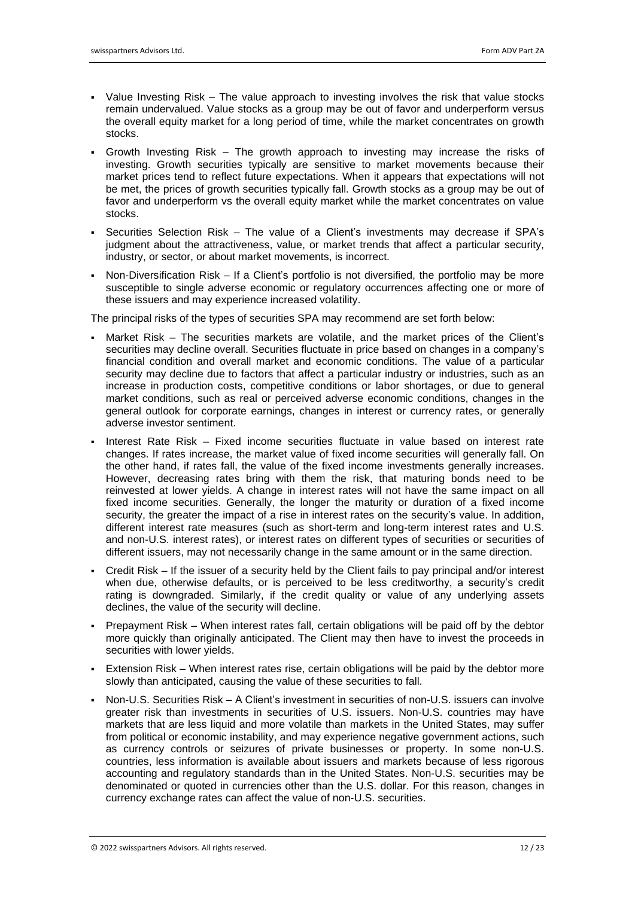- Value Investing Risk The value approach to investing involves the risk that value stocks remain undervalued. Value stocks as a group may be out of favor and underperform versus the overall equity market for a long period of time, while the market concentrates on growth stocks.
- Growth Investing Risk The growth approach to investing may increase the risks of investing. Growth securities typically are sensitive to market movements because their market prices tend to reflect future expectations. When it appears that expectations will not be met, the prices of growth securities typically fall. Growth stocks as a group may be out of favor and underperform vs the overall equity market while the market concentrates on value stocks.
- Securities Selection Risk The value of a Client's investments may decrease if SPA's judgment about the attractiveness, value, or market trends that affect a particular security, industry, or sector, or about market movements, is incorrect.
- Non-Diversification Risk If a Client's portfolio is not diversified, the portfolio may be more susceptible to single adverse economic or regulatory occurrences affecting one or more of these issuers and may experience increased volatility.

The principal risks of the types of securities SPA may recommend are set forth below:

- Market Risk The securities markets are volatile, and the market prices of the Client's securities may decline overall. Securities fluctuate in price based on changes in a company's financial condition and overall market and economic conditions. The value of a particular security may decline due to factors that affect a particular industry or industries, such as an increase in production costs, competitive conditions or labor shortages, or due to general market conditions, such as real or perceived adverse economic conditions, changes in the general outlook for corporate earnings, changes in interest or currency rates, or generally adverse investor sentiment.
- Interest Rate Risk Fixed income securities fluctuate in value based on interest rate changes. If rates increase, the market value of fixed income securities will generally fall. On the other hand, if rates fall, the value of the fixed income investments generally increases. However, decreasing rates bring with them the risk, that maturing bonds need to be reinvested at lower yields. A change in interest rates will not have the same impact on all fixed income securities. Generally, the longer the maturity or duration of a fixed income security, the greater the impact of a rise in interest rates on the security's value. In addition, different interest rate measures (such as short-term and long-term interest rates and U.S. and non-U.S. interest rates), or interest rates on different types of securities or securities of different issuers, may not necessarily change in the same amount or in the same direction.
- Credit Risk If the issuer of a security held by the Client fails to pay principal and/or interest when due, otherwise defaults, or is perceived to be less creditworthy, a security's credit rating is downgraded. Similarly, if the credit quality or value of any underlying assets declines, the value of the security will decline.
- Prepayment Risk When interest rates fall, certain obligations will be paid off by the debtor more quickly than originally anticipated. The Client may then have to invest the proceeds in securities with lower yields.
- Extension Risk When interest rates rise, certain obligations will be paid by the debtor more slowly than anticipated, causing the value of these securities to fall.
- Non-U.S. Securities Risk A Client's investment in securities of non-U.S. issuers can involve greater risk than investments in securities of U.S. issuers. Non-U.S. countries may have markets that are less liquid and more volatile than markets in the United States, may suffer from political or economic instability, and may experience negative government actions, such as currency controls or seizures of private businesses or property. In some non-U.S. countries, less information is available about issuers and markets because of less rigorous accounting and regulatory standards than in the United States. Non-U.S. securities may be denominated or quoted in currencies other than the U.S. dollar. For this reason, changes in currency exchange rates can affect the value of non-U.S. securities.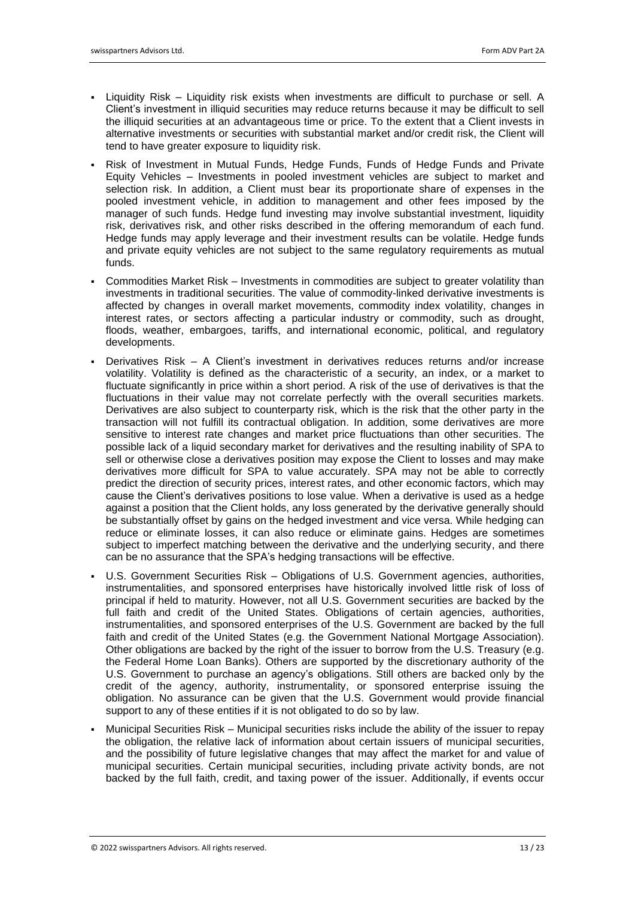- Liquidity Risk Liquidity risk exists when investments are difficult to purchase or sell. A Client's investment in illiquid securities may reduce returns because it may be difficult to sell the illiquid securities at an advantageous time or price. To the extent that a Client invests in alternative investments or securities with substantial market and/or credit risk, the Client will tend to have greater exposure to liquidity risk.
- Risk of Investment in Mutual Funds, Hedge Funds, Funds of Hedge Funds and Private Equity Vehicles – Investments in pooled investment vehicles are subject to market and selection risk. In addition, a Client must bear its proportionate share of expenses in the pooled investment vehicle, in addition to management and other fees imposed by the manager of such funds. Hedge fund investing may involve substantial investment, liquidity risk, derivatives risk, and other risks described in the offering memorandum of each fund. Hedge funds may apply leverage and their investment results can be volatile. Hedge funds and private equity vehicles are not subject to the same regulatory requirements as mutual funds.
- Commodities Market Risk Investments in commodities are subject to greater volatility than investments in traditional securities. The value of commodity-linked derivative investments is affected by changes in overall market movements, commodity index volatility, changes in interest rates, or sectors affecting a particular industry or commodity, such as drought, floods, weather, embargoes, tariffs, and international economic, political, and regulatory developments.
- Derivatives Risk A Client's investment in derivatives reduces returns and/or increase volatility. Volatility is defined as the characteristic of a security, an index, or a market to fluctuate significantly in price within a short period. A risk of the use of derivatives is that the fluctuations in their value may not correlate perfectly with the overall securities markets. Derivatives are also subject to counterparty risk, which is the risk that the other party in the transaction will not fulfill its contractual obligation. In addition, some derivatives are more sensitive to interest rate changes and market price fluctuations than other securities. The possible lack of a liquid secondary market for derivatives and the resulting inability of SPA to sell or otherwise close a derivatives position may expose the Client to losses and may make derivatives more difficult for SPA to value accurately. SPA may not be able to correctly predict the direction of security prices, interest rates, and other economic factors, which may cause the Client's derivatives positions to lose value. When a derivative is used as a hedge against a position that the Client holds, any loss generated by the derivative generally should be substantially offset by gains on the hedged investment and vice versa. While hedging can reduce or eliminate losses, it can also reduce or eliminate gains. Hedges are sometimes subiect to imperfect matching between the derivative and the underlying security, and there can be no assurance that the SPA's hedging transactions will be effective.
- U.S. Government Securities Risk Obligations of U.S. Government agencies, authorities, instrumentalities, and sponsored enterprises have historically involved little risk of loss of principal if held to maturity. However, not all U.S. Government securities are backed by the full faith and credit of the United States. Obligations of certain agencies, authorities, instrumentalities, and sponsored enterprises of the U.S. Government are backed by the full faith and credit of the United States (e.g. the Government National Mortgage Association). Other obligations are backed by the right of the issuer to borrow from the U.S. Treasury (e.g. the Federal Home Loan Banks). Others are supported by the discretionary authority of the U.S. Government to purchase an agency's obligations. Still others are backed only by the credit of the agency, authority, instrumentality, or sponsored enterprise issuing the obligation. No assurance can be given that the U.S. Government would provide financial support to any of these entities if it is not obligated to do so by law.
- Municipal Securities Risk Municipal securities risks include the ability of the issuer to repay the obligation, the relative lack of information about certain issuers of municipal securities, and the possibility of future legislative changes that may affect the market for and value of municipal securities. Certain municipal securities, including private activity bonds, are not backed by the full faith, credit, and taxing power of the issuer. Additionally, if events occur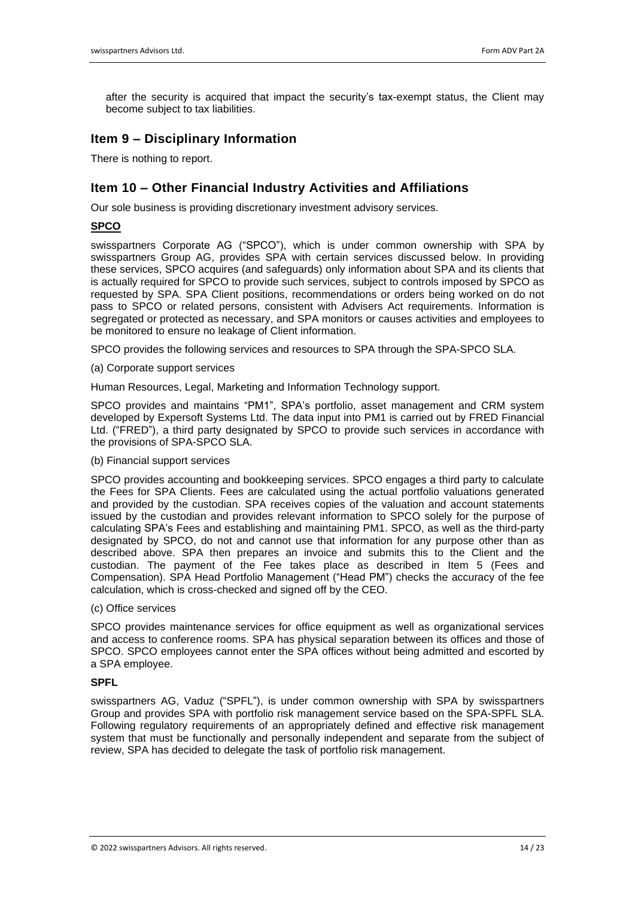after the security is acquired that impact the security's tax-exempt status, the Client may become subject to tax liabilities.

# **Item 9 – Disciplinary Information**

There is nothing to report.

# **Item 10 – Other Financial Industry Activities and Affiliations**

Our sole business is providing discretionary investment advisory services.

#### **SPCO**

swisspartners Corporate AG ("SPCO"), which is under common ownership with SPA by swisspartners Group AG, provides SPA with certain services discussed below. In providing these services, SPCO acquires (and safeguards) only information about SPA and its clients that is actually required for SPCO to provide such services, subject to controls imposed by SPCO as requested by SPA. SPA Client positions, recommendations or orders being worked on do not pass to SPCO or related persons, consistent with Advisers Act requirements. Information is segregated or protected as necessary, and SPA monitors or causes activities and employees to be monitored to ensure no leakage of Client information.

SPCO provides the following services and resources to SPA through the SPA-SPCO SLA.

(a) Corporate support services

Human Resources, Legal, Marketing and Information Technology support.

SPCO provides and maintains "PM1", SPA's portfolio, asset management and CRM system developed by Expersoft Systems Ltd. The data input into PM1 is carried out by FRED Financial Ltd. ("FRED"), a third party designated by SPCO to provide such services in accordance with the provisions of SPA-SPCO SLA.

#### (b) Financial support services

SPCO provides accounting and bookkeeping services. SPCO engages a third party to calculate the Fees for SPA Clients. Fees are calculated using the actual portfolio valuations generated and provided by the custodian. SPA receives copies of the valuation and account statements issued by the custodian and provides relevant information to SPCO solely for the purpose of calculating SPA's Fees and establishing and maintaining PM1. SPCO, as well as the third-party designated by SPCO, do not and cannot use that information for any purpose other than as described above. SPA then prepares an invoice and submits this to the Client and the custodian. The payment of the Fee takes place as described in Item 5 (Fees and Compensation). SPA Head Portfolio Management ("Head PM") checks the accuracy of the fee calculation, which is cross-checked and signed off by the CEO.

(c) Office services

SPCO provides maintenance services for office equipment as well as organizational services and access to conference rooms. SPA has physical separation between its offices and those of SPCO. SPCO employees cannot enter the SPA offices without being admitted and escorted by a SPA employee.

#### **SPFL**

swisspartners AG, Vaduz ("SPFL"), is under common ownership with SPA by swisspartners Group and provides SPA with portfolio risk management service based on the SPA-SPFL SLA. Following regulatory requirements of an appropriately defined and effective risk management system that must be functionally and personally independent and separate from the subject of review, SPA has decided to delegate the task of portfolio risk management.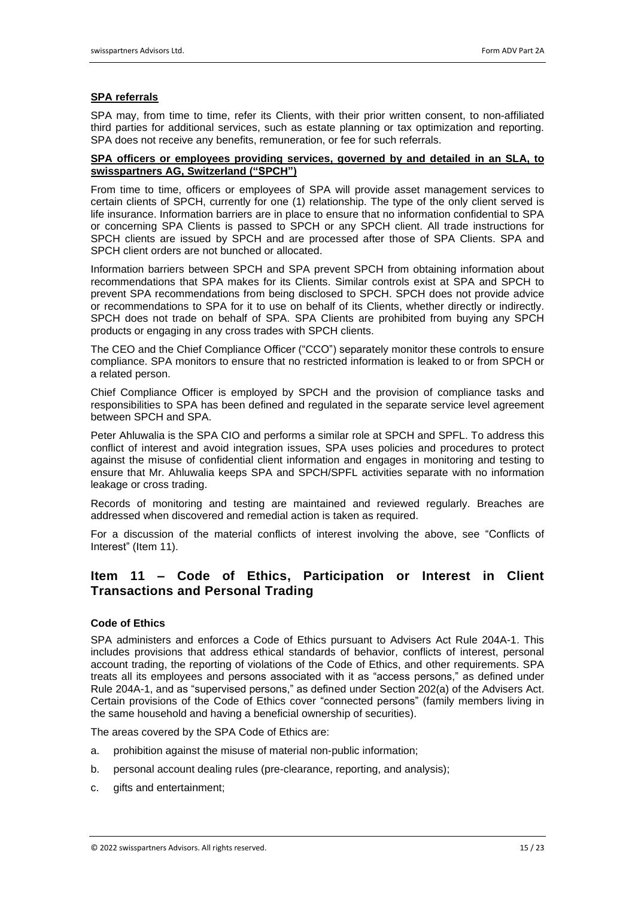#### **SPA referrals**

SPA may, from time to time, refer its Clients, with their prior written consent, to non-affiliated third parties for additional services, such as estate planning or tax optimization and reporting. SPA does not receive any benefits, remuneration, or fee for such referrals.

#### **SPA officers or employees providing services, governed by and detailed in an SLA, to swisspartners AG, Switzerland ("SPCH")**

From time to time, officers or employees of SPA will provide asset management services to certain clients of SPCH, currently for one (1) relationship. The type of the only client served is life insurance. Information barriers are in place to ensure that no information confidential to SPA or concerning SPA Clients is passed to SPCH or any SPCH client. All trade instructions for SPCH clients are issued by SPCH and are processed after those of SPA Clients. SPA and SPCH client orders are not bunched or allocated.

Information barriers between SPCH and SPA prevent SPCH from obtaining information about recommendations that SPA makes for its Clients. Similar controls exist at SPA and SPCH to prevent SPA recommendations from being disclosed to SPCH. SPCH does not provide advice or recommendations to SPA for it to use on behalf of its Clients, whether directly or indirectly. SPCH does not trade on behalf of SPA. SPA Clients are prohibited from buying any SPCH products or engaging in any cross trades with SPCH clients.

The CEO and the Chief Compliance Officer ("CCO") separately monitor these controls to ensure compliance. SPA monitors to ensure that no restricted information is leaked to or from SPCH or a related person.

Chief Compliance Officer is employed by SPCH and the provision of compliance tasks and responsibilities to SPA has been defined and regulated in the separate service level agreement between SPCH and SPA.

Peter Ahluwalia is the SPA CIO and performs a similar role at SPCH and SPFL. To address this conflict of interest and avoid integration issues, SPA uses policies and procedures to protect against the misuse of confidential client information and engages in monitoring and testing to ensure that Mr. Ahluwalia keeps SPA and SPCH/SPFL activities separate with no information leakage or cross trading.

Records of monitoring and testing are maintained and reviewed regularly. Breaches are addressed when discovered and remedial action is taken as required.

For a discussion of the material conflicts of interest involving the above, see "Conflicts of Interest" (Item 11).

# **Item 11 – Code of Ethics, Participation or Interest in Client Transactions and Personal Trading**

#### **Code of Ethics**

SPA administers and enforces a Code of Ethics pursuant to Advisers Act Rule 204A-1. This includes provisions that address ethical standards of behavior, conflicts of interest, personal account trading, the reporting of violations of the Code of Ethics, and other requirements. SPA treats all its employees and persons associated with it as "access persons," as defined under Rule 204A-1, and as "supervised persons," as defined under Section 202(a) of the Advisers Act. Certain provisions of the Code of Ethics cover "connected persons" (family members living in the same household and having a beneficial ownership of securities).

The areas covered by the SPA Code of Ethics are:

- a. prohibition against the misuse of material non-public information;
- b. personal account dealing rules (pre-clearance, reporting, and analysis);
- c. gifts and entertainment;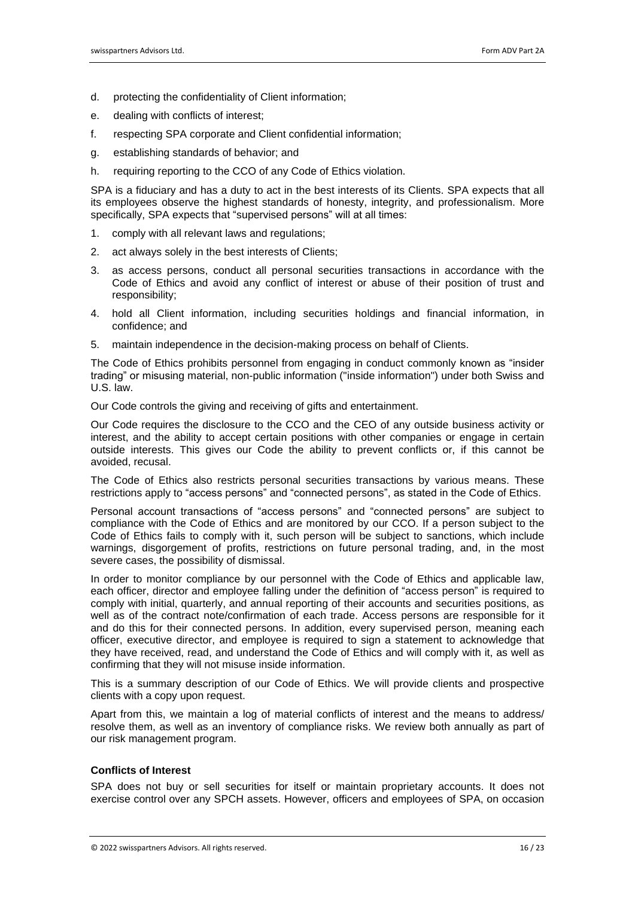- d. protecting the confidentiality of Client information;
- e. dealing with conflicts of interest;
- f. respecting SPA corporate and Client confidential information;
- g. establishing standards of behavior; and
- h. requiring reporting to the CCO of any Code of Ethics violation.

SPA is a fiduciary and has a duty to act in the best interests of its Clients. SPA expects that all its employees observe the highest standards of honesty, integrity, and professionalism. More specifically, SPA expects that "supervised persons" will at all times:

- 1. comply with all relevant laws and regulations;
- 2. act always solely in the best interests of Clients;
- 3. as access persons, conduct all personal securities transactions in accordance with the Code of Ethics and avoid any conflict of interest or abuse of their position of trust and responsibility;
- 4. hold all Client information, including securities holdings and financial information, in confidence; and
- 5. maintain independence in the decision-making process on behalf of Clients.

The Code of Ethics prohibits personnel from engaging in conduct commonly known as "insider trading" or misusing material, non-public information ("inside information") under both Swiss and U.S. law.

Our Code controls the giving and receiving of gifts and entertainment.

Our Code requires the disclosure to the CCO and the CEO of any outside business activity or interest, and the ability to accept certain positions with other companies or engage in certain outside interests. This gives our Code the ability to prevent conflicts or, if this cannot be avoided, recusal.

The Code of Ethics also restricts personal securities transactions by various means. These restrictions apply to "access persons" and "connected persons", as stated in the Code of Ethics.

Personal account transactions of "access persons" and "connected persons" are subject to compliance with the Code of Ethics and are monitored by our CCO. If a person subject to the Code of Ethics fails to comply with it, such person will be subject to sanctions, which include warnings, disgorgement of profits, restrictions on future personal trading, and, in the most severe cases, the possibility of dismissal.

In order to monitor compliance by our personnel with the Code of Ethics and applicable law, each officer, director and employee falling under the definition of "access person" is required to comply with initial, quarterly, and annual reporting of their accounts and securities positions, as well as of the contract note/confirmation of each trade. Access persons are responsible for it and do this for their connected persons. In addition, every supervised person, meaning each officer, executive director, and employee is required to sign a statement to acknowledge that they have received, read, and understand the Code of Ethics and will comply with it, as well as confirming that they will not misuse inside information.

This is a summary description of our Code of Ethics. We will provide clients and prospective clients with a copy upon request.

Apart from this, we maintain a log of material conflicts of interest and the means to address/ resolve them, as well as an inventory of compliance risks. We review both annually as part of our risk management program.

#### **Conflicts of Interest**

SPA does not buy or sell securities for itself or maintain proprietary accounts. It does not exercise control over any SPCH assets. However, officers and employees of SPA, on occasion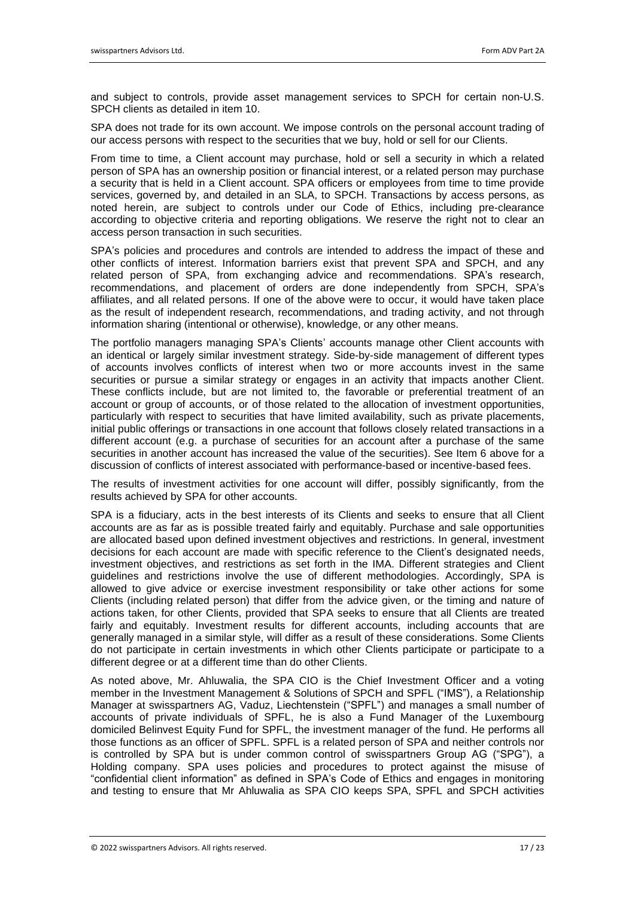and subject to controls, provide asset management services to SPCH for certain non-U.S. SPCH clients as detailed in item 10.

SPA does not trade for its own account. We impose controls on the personal account trading of our access persons with respect to the securities that we buy, hold or sell for our Clients.

From time to time, a Client account may purchase, hold or sell a security in which a related person of SPA has an ownership position or financial interest, or a related person may purchase a security that is held in a Client account. SPA officers or employees from time to time provide services, governed by, and detailed in an SLA, to SPCH. Transactions by access persons, as noted herein, are subject to controls under our Code of Ethics, including pre-clearance according to objective criteria and reporting obligations. We reserve the right not to clear an access person transaction in such securities.

SPA's policies and procedures and controls are intended to address the impact of these and other conflicts of interest. Information barriers exist that prevent SPA and SPCH, and any related person of SPA, from exchanging advice and recommendations. SPA's research, recommendations, and placement of orders are done independently from SPCH, SPA's affiliates, and all related persons. If one of the above were to occur, it would have taken place as the result of independent research, recommendations, and trading activity, and not through information sharing (intentional or otherwise), knowledge, or any other means.

The portfolio managers managing SPA's Clients' accounts manage other Client accounts with an identical or largely similar investment strategy. Side-by-side management of different types of accounts involves conflicts of interest when two or more accounts invest in the same securities or pursue a similar strategy or engages in an activity that impacts another Client. These conflicts include, but are not limited to, the favorable or preferential treatment of an account or group of accounts, or of those related to the allocation of investment opportunities, particularly with respect to securities that have limited availability, such as private placements, initial public offerings or transactions in one account that follows closely related transactions in a different account (e.g. a purchase of securities for an account after a purchase of the same securities in another account has increased the value of the securities). See Item 6 above for a discussion of conflicts of interest associated with performance-based or incentive-based fees.

The results of investment activities for one account will differ, possibly significantly, from the results achieved by SPA for other accounts.

SPA is a fiduciary, acts in the best interests of its Clients and seeks to ensure that all Client accounts are as far as is possible treated fairly and equitably. Purchase and sale opportunities are allocated based upon defined investment objectives and restrictions. In general, investment decisions for each account are made with specific reference to the Client's designated needs, investment objectives, and restrictions as set forth in the IMA. Different strategies and Client guidelines and restrictions involve the use of different methodologies. Accordingly, SPA is allowed to give advice or exercise investment responsibility or take other actions for some Clients (including related person) that differ from the advice given, or the timing and nature of actions taken, for other Clients, provided that SPA seeks to ensure that all Clients are treated fairly and equitably. Investment results for different accounts, including accounts that are generally managed in a similar style, will differ as a result of these considerations. Some Clients do not participate in certain investments in which other Clients participate or participate to a different degree or at a different time than do other Clients.

As noted above, Mr. Ahluwalia, the SPA CIO is the Chief Investment Officer and a voting member in the Investment Management & Solutions of SPCH and SPFL ("IMS"), a Relationship Manager at swisspartners AG, Vaduz, Liechtenstein ("SPFL") and manages a small number of accounts of private individuals of SPFL, he is also a Fund Manager of the Luxembourg domiciled Belinvest Equity Fund for SPFL, the investment manager of the fund. He performs all those functions as an officer of SPFL. SPFL is a related person of SPA and neither controls nor is controlled by SPA but is under common control of swisspartners Group AG ("SPG"), a Holding company. SPA uses policies and procedures to protect against the misuse of "confidential client information" as defined in SPA's Code of Ethics and engages in monitoring and testing to ensure that Mr Ahluwalia as SPA CIO keeps SPA, SPFL and SPCH activities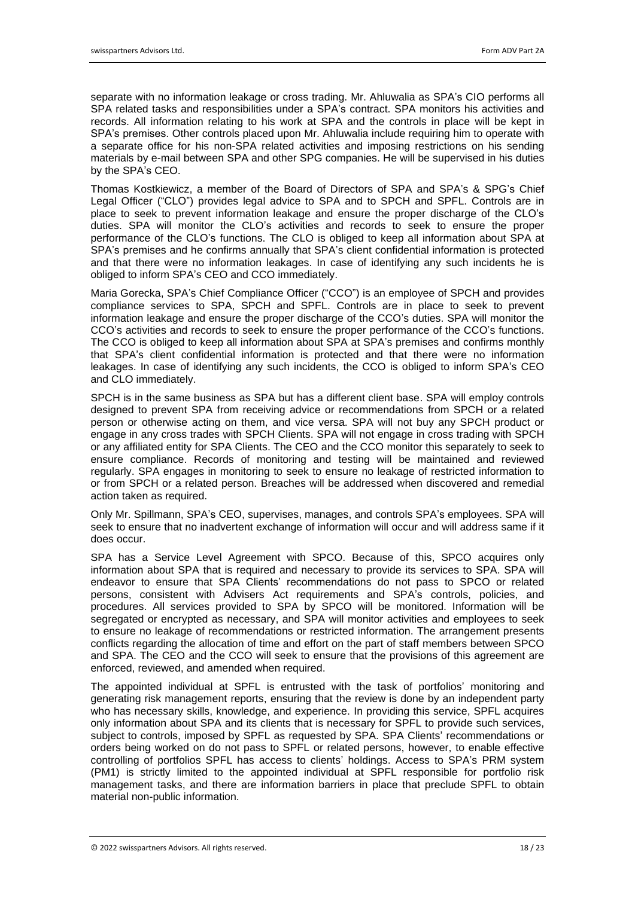separate with no information leakage or cross trading. Mr. Ahluwalia as SPA's CIO performs all SPA related tasks and responsibilities under a SPA's contract. SPA monitors his activities and records. All information relating to his work at SPA and the controls in place will be kept in SPA's premises. Other controls placed upon Mr. Ahluwalia include requiring him to operate with a separate office for his non-SPA related activities and imposing restrictions on his sending materials by e-mail between SPA and other SPG companies. He will be supervised in his duties by the SPA's CEO.

Thomas Kostkiewicz, a member of the Board of Directors of SPA and SPA's & SPG's Chief Legal Officer ("CLO") provides legal advice to SPA and to SPCH and SPFL. Controls are in place to seek to prevent information leakage and ensure the proper discharge of the CLO's duties. SPA will monitor the CLO's activities and records to seek to ensure the proper performance of the CLO's functions. The CLO is obliged to keep all information about SPA at SPA's premises and he confirms annually that SPA's client confidential information is protected and that there were no information leakages. In case of identifying any such incidents he is obliged to inform SPA's CEO and CCO immediately.

Maria Gorecka, SPA's Chief Compliance Officer ("CCO") is an employee of SPCH and provides compliance services to SPA, SPCH and SPFL. Controls are in place to seek to prevent information leakage and ensure the proper discharge of the CCO's duties. SPA will monitor the CCO's activities and records to seek to ensure the proper performance of the CCO's functions. The CCO is obliged to keep all information about SPA at SPA's premises and confirms monthly that SPA's client confidential information is protected and that there were no information leakages. In case of identifying any such incidents, the CCO is obliged to inform SPA's CEO and CLO immediately.

SPCH is in the same business as SPA but has a different client base. SPA will employ controls designed to prevent SPA from receiving advice or recommendations from SPCH or a related person or otherwise acting on them, and vice versa. SPA will not buy any SPCH product or engage in any cross trades with SPCH Clients. SPA will not engage in cross trading with SPCH or any affiliated entity for SPA Clients. The CEO and the CCO monitor this separately to seek to ensure compliance. Records of monitoring and testing will be maintained and reviewed regularly. SPA engages in monitoring to seek to ensure no leakage of restricted information to or from SPCH or a related person. Breaches will be addressed when discovered and remedial action taken as required.

Only Mr. Spillmann, SPA's CEO, supervises, manages, and controls SPA's employees. SPA will seek to ensure that no inadvertent exchange of information will occur and will address same if it does occur.

SPA has a Service Level Agreement with SPCO. Because of this, SPCO acquires only information about SPA that is required and necessary to provide its services to SPA. SPA will endeavor to ensure that SPA Clients' recommendations do not pass to SPCO or related persons, consistent with Advisers Act requirements and SPA's controls, policies, and procedures. All services provided to SPA by SPCO will be monitored. Information will be segregated or encrypted as necessary, and SPA will monitor activities and employees to seek to ensure no leakage of recommendations or restricted information. The arrangement presents conflicts regarding the allocation of time and effort on the part of staff members between SPCO and SPA. The CEO and the CCO will seek to ensure that the provisions of this agreement are enforced, reviewed, and amended when required.

The appointed individual at SPFL is entrusted with the task of portfolios' monitoring and generating risk management reports, ensuring that the review is done by an independent party who has necessary skills, knowledge, and experience. In providing this service, SPFL acquires only information about SPA and its clients that is necessary for SPFL to provide such services, subject to controls, imposed by SPFL as requested by SPA. SPA Clients' recommendations or orders being worked on do not pass to SPFL or related persons, however, to enable effective controlling of portfolios SPFL has access to clients' holdings. Access to SPA's PRM system (PM1) is strictly limited to the appointed individual at SPFL responsible for portfolio risk management tasks, and there are information barriers in place that preclude SPFL to obtain material non-public information.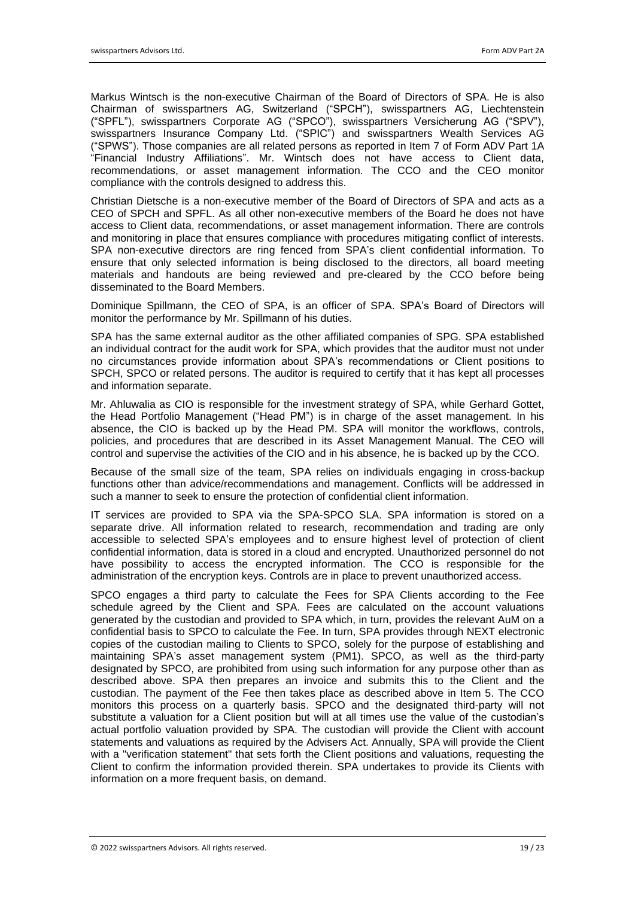Markus Wintsch is the non-executive Chairman of the Board of Directors of SPA. He is also Chairman of swisspartners AG, Switzerland ("SPCH"), swisspartners AG, Liechtenstein ("SPFL"), swisspartners Corporate AG ("SPCO"), swisspartners Versicherung AG ("SPV"), swisspartners Insurance Company Ltd. ("SPIC") and swisspartners Wealth Services AG ("SPWS"). Those companies are all related persons as reported in Item 7 of Form ADV Part 1A "Financial Industry Affiliations". Mr. Wintsch does not have access to Client data, recommendations, or asset management information. The CCO and the CEO monitor compliance with the controls designed to address this.

Christian Dietsche is a non-executive member of the Board of Directors of SPA and acts as a CEO of SPCH and SPFL. As all other non-executive members of the Board he does not have access to Client data, recommendations, or asset management information. There are controls and monitoring in place that ensures compliance with procedures mitigating conflict of interests. SPA non-executive directors are ring fenced from SPA's client confidential information. To ensure that only selected information is being disclosed to the directors, all board meeting materials and handouts are being reviewed and pre-cleared by the CCO before being disseminated to the Board Members.

Dominique Spillmann, the CEO of SPA, is an officer of SPA. SPA's Board of Directors will monitor the performance by Mr. Spillmann of his duties.

SPA has the same external auditor as the other affiliated companies of SPG. SPA established an individual contract for the audit work for SPA, which provides that the auditor must not under no circumstances provide information about SPA's recommendations or Client positions to SPCH, SPCO or related persons. The auditor is required to certify that it has kept all processes and information separate.

Mr. Ahluwalia as CIO is responsible for the investment strategy of SPA, while Gerhard Gottet, the Head Portfolio Management ("Head PM") is in charge of the asset management. In his absence, the CIO is backed up by the Head PM. SPA will monitor the workflows, controls, policies, and procedures that are described in its Asset Management Manual. The CEO will control and supervise the activities of the CIO and in his absence, he is backed up by the CCO.

Because of the small size of the team, SPA relies on individuals engaging in cross-backup functions other than advice/recommendations and management. Conflicts will be addressed in such a manner to seek to ensure the protection of confidential client information.

IT services are provided to SPA via the SPA-SPCO SLA. SPA information is stored on a separate drive. All information related to research, recommendation and trading are only accessible to selected SPA's employees and to ensure highest level of protection of client confidential information, data is stored in a cloud and encrypted. Unauthorized personnel do not have possibility to access the encrypted information. The CCO is responsible for the administration of the encryption keys. Controls are in place to prevent unauthorized access.

SPCO engages a third party to calculate the Fees for SPA Clients according to the Fee schedule agreed by the Client and SPA. Fees are calculated on the account valuations generated by the custodian and provided to SPA which, in turn, provides the relevant AuM on a confidential basis to SPCO to calculate the Fee. In turn, SPA provides through NEXT electronic copies of the custodian mailing to Clients to SPCO, solely for the purpose of establishing and maintaining SPA's asset management system (PM1). SPCO, as well as the third-party designated by SPCO, are prohibited from using such information for any purpose other than as described above. SPA then prepares an invoice and submits this to the Client and the custodian. The payment of the Fee then takes place as described above in Item 5. The CCO monitors this process on a quarterly basis. SPCO and the designated third-party will not substitute a valuation for a Client position but will at all times use the value of the custodian's actual portfolio valuation provided by SPA. The custodian will provide the Client with account statements and valuations as required by the Advisers Act. Annually, SPA will provide the Client with a "verification statement" that sets forth the Client positions and valuations, requesting the Client to confirm the information provided therein. SPA undertakes to provide its Clients with information on a more frequent basis, on demand.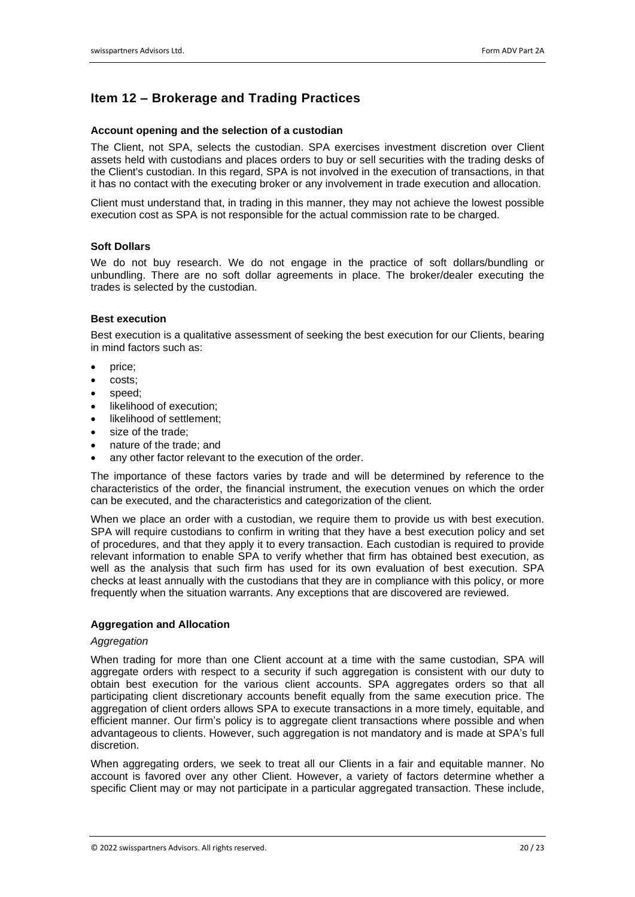# **Item 12 – Brokerage and Trading Practices**

#### **Account opening and the selection of a custodian**

The Client, not SPA, selects the custodian. SPA exercises investment discretion over Client assets held with custodians and places orders to buy or sell securities with the trading desks of the Client's custodian. In this regard, SPA is not involved in the execution of transactions, in that it has no contact with the executing broker or any involvement in trade execution and allocation.

Client must understand that, in trading in this manner, they may not achieve the lowest possible execution cost as SPA is not responsible for the actual commission rate to be charged.

#### **Soft Dollars**

We do not buy research. We do not engage in the practice of soft dollars/bundling or unbundling. There are no soft dollar agreements in place. The broker/dealer executing the trades is selected by the custodian.

#### **Best execution**

Best execution is a qualitative assessment of seeking the best execution for our Clients, bearing in mind factors such as:

- price;
- costs;
- speed:
- likelihood of execution:
- likelihood of settlement:
- size of the trade:
- nature of the trade; and
- any other factor relevant to the execution of the order.

The importance of these factors varies by trade and will be determined by reference to the characteristics of the order, the financial instrument, the execution venues on which the order can be executed, and the characteristics and categorization of the client.

When we place an order with a custodian, we require them to provide us with best execution. SPA will require custodians to confirm in writing that they have a best execution policy and set of procedures, and that they apply it to every transaction. Each custodian is required to provide relevant information to enable SPA to verify whether that firm has obtained best execution, as well as the analysis that such firm has used for its own evaluation of best execution. SPA checks at least annually with the custodians that they are in compliance with this policy, or more frequently when the situation warrants. Any exceptions that are discovered are reviewed.

#### **Aggregation and Allocation**

#### *Aggregation*

When trading for more than one Client account at a time with the same custodian, SPA will aggregate orders with respect to a security if such aggregation is consistent with our duty to obtain best execution for the various client accounts. SPA aggregates orders so that all participating client discretionary accounts benefit equally from the same execution price. The aggregation of client orders allows SPA to execute transactions in a more timely, equitable, and efficient manner. Our firm's policy is to aggregate client transactions where possible and when advantageous to clients. However, such aggregation is not mandatory and is made at SPA's full discretion.

When aggregating orders, we seek to treat all our Clients in a fair and equitable manner. No account is favored over any other Client. However, a variety of factors determine whether a specific Client may or may not participate in a particular aggregated transaction. These include,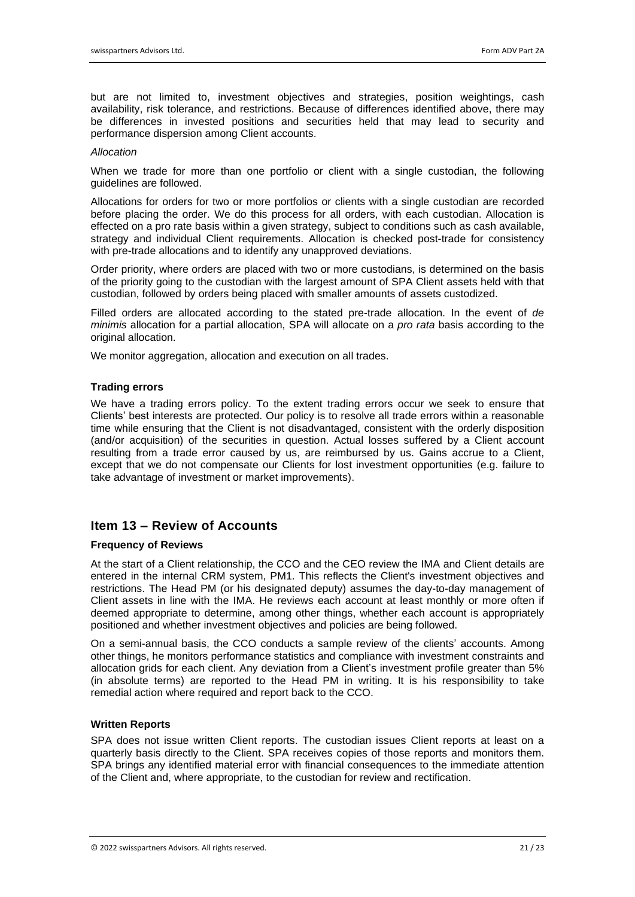but are not limited to, investment objectives and strategies, position weightings, cash availability, risk tolerance, and restrictions. Because of differences identified above, there may be differences in invested positions and securities held that may lead to security and performance dispersion among Client accounts.

#### *Allocation*

When we trade for more than one portfolio or client with a single custodian, the following guidelines are followed.

Allocations for orders for two or more portfolios or clients with a single custodian are recorded before placing the order. We do this process for all orders, with each custodian. Allocation is effected on a pro rate basis within a given strategy, subject to conditions such as cash available, strategy and individual Client requirements. Allocation is checked post-trade for consistency with pre-trade allocations and to identify any unapproved deviations.

Order priority, where orders are placed with two or more custodians, is determined on the basis of the priority going to the custodian with the largest amount of SPA Client assets held with that custodian, followed by orders being placed with smaller amounts of assets custodized.

Filled orders are allocated according to the stated pre-trade allocation. In the event of *de minimis* allocation for a partial allocation, SPA will allocate on a *pro rata* basis according to the original allocation.

We monitor aggregation, allocation and execution on all trades.

#### **Trading errors**

We have a trading errors policy. To the extent trading errors occur we seek to ensure that Clients' best interests are protected. Our policy is to resolve all trade errors within a reasonable time while ensuring that the Client is not disadvantaged, consistent with the orderly disposition (and/or acquisition) of the securities in question. Actual losses suffered by a Client account resulting from a trade error caused by us, are reimbursed by us. Gains accrue to a Client, except that we do not compensate our Clients for lost investment opportunities (e.g. failure to take advantage of investment or market improvements).

# **Item 13 – Review of Accounts**

#### **Frequency of Reviews**

At the start of a Client relationship, the CCO and the CEO review the IMA and Client details are entered in the internal CRM system, PM1. This reflects the Client's investment objectives and restrictions. The Head PM (or his designated deputy) assumes the day-to-day management of Client assets in line with the IMA. He reviews each account at least monthly or more often if deemed appropriate to determine, among other things, whether each account is appropriately positioned and whether investment objectives and policies are being followed.

On a semi-annual basis, the CCO conducts a sample review of the clients' accounts. Among other things, he monitors performance statistics and compliance with investment constraints and allocation grids for each client. Any deviation from a Client's investment profile greater than 5% (in absolute terms) are reported to the Head PM in writing. It is his responsibility to take remedial action where required and report back to the CCO.

#### **Written Reports**

SPA does not issue written Client reports. The custodian issues Client reports at least on a quarterly basis directly to the Client. SPA receives copies of those reports and monitors them. SPA brings any identified material error with financial consequences to the immediate attention of the Client and, where appropriate, to the custodian for review and rectification.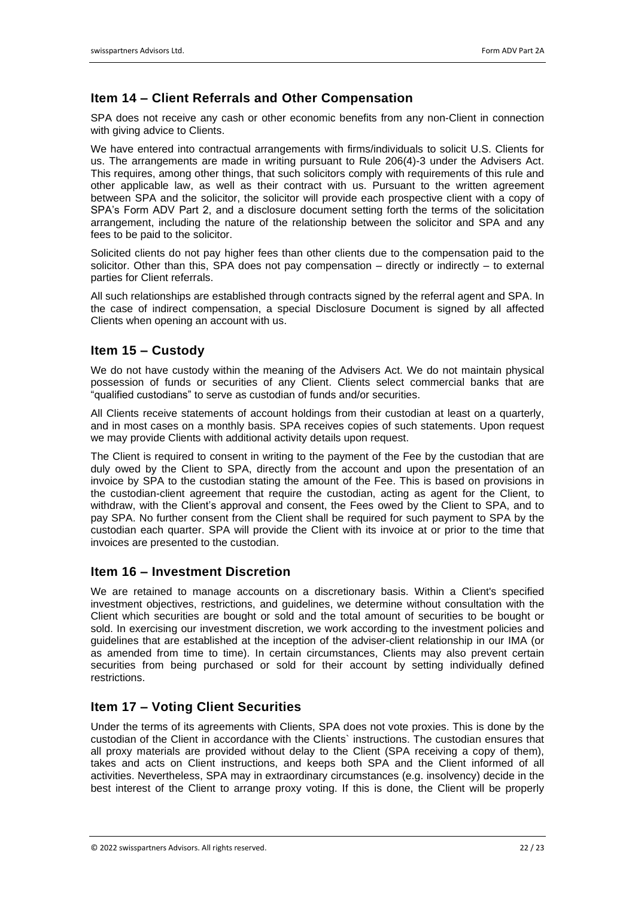# **Item 14 – Client Referrals and Other Compensation**

SPA does not receive any cash or other economic benefits from any non-Client in connection with giving advice to Clients.

We have entered into contractual arrangements with firms/individuals to solicit U.S. Clients for us. The arrangements are made in writing pursuant to Rule 206(4)-3 under the Advisers Act. This requires, among other things, that such solicitors comply with requirements of this rule and other applicable law, as well as their contract with us. Pursuant to the written agreement between SPA and the solicitor, the solicitor will provide each prospective client with a copy of SPA's Form ADV Part 2, and a disclosure document setting forth the terms of the solicitation arrangement, including the nature of the relationship between the solicitor and SPA and any fees to be paid to the solicitor.

Solicited clients do not pay higher fees than other clients due to the compensation paid to the solicitor. Other than this, SPA does not pay compensation  $-$  directly or indirectly  $-$  to external parties for Client referrals.

All such relationships are established through contracts signed by the referral agent and SPA. In the case of indirect compensation, a special Disclosure Document is signed by all affected Clients when opening an account with us.

# **Item 15 – Custody**

We do not have custody within the meaning of the Advisers Act. We do not maintain physical possession of funds or securities of any Client. Clients select commercial banks that are "qualified custodians" to serve as custodian of funds and/or securities.

All Clients receive statements of account holdings from their custodian at least on a quarterly, and in most cases on a monthly basis. SPA receives copies of such statements. Upon request we may provide Clients with additional activity details upon request.

The Client is required to consent in writing to the payment of the Fee by the custodian that are duly owed by the Client to SPA, directly from the account and upon the presentation of an invoice by SPA to the custodian stating the amount of the Fee. This is based on provisions in the custodian-client agreement that require the custodian, acting as agent for the Client, to withdraw, with the Client's approval and consent, the Fees owed by the Client to SPA, and to pay SPA. No further consent from the Client shall be required for such payment to SPA by the custodian each quarter. SPA will provide the Client with its invoice at or prior to the time that invoices are presented to the custodian.

# **Item 16 – Investment Discretion**

We are retained to manage accounts on a discretionary basis. Within a Client's specified investment objectives, restrictions, and guidelines, we determine without consultation with the Client which securities are bought or sold and the total amount of securities to be bought or sold. In exercising our investment discretion, we work according to the investment policies and guidelines that are established at the inception of the adviser-client relationship in our IMA (or as amended from time to time). In certain circumstances, Clients may also prevent certain securities from being purchased or sold for their account by setting individually defined restrictions.

# **Item 17 – Voting Client Securities**

Under the terms of its agreements with Clients, SPA does not vote proxies. This is done by the custodian of the Client in accordance with the Clients` instructions. The custodian ensures that all proxy materials are provided without delay to the Client (SPA receiving a copy of them), takes and acts on Client instructions, and keeps both SPA and the Client informed of all activities. Nevertheless, SPA may in extraordinary circumstances (e.g. insolvency) decide in the best interest of the Client to arrange proxy voting. If this is done, the Client will be properly